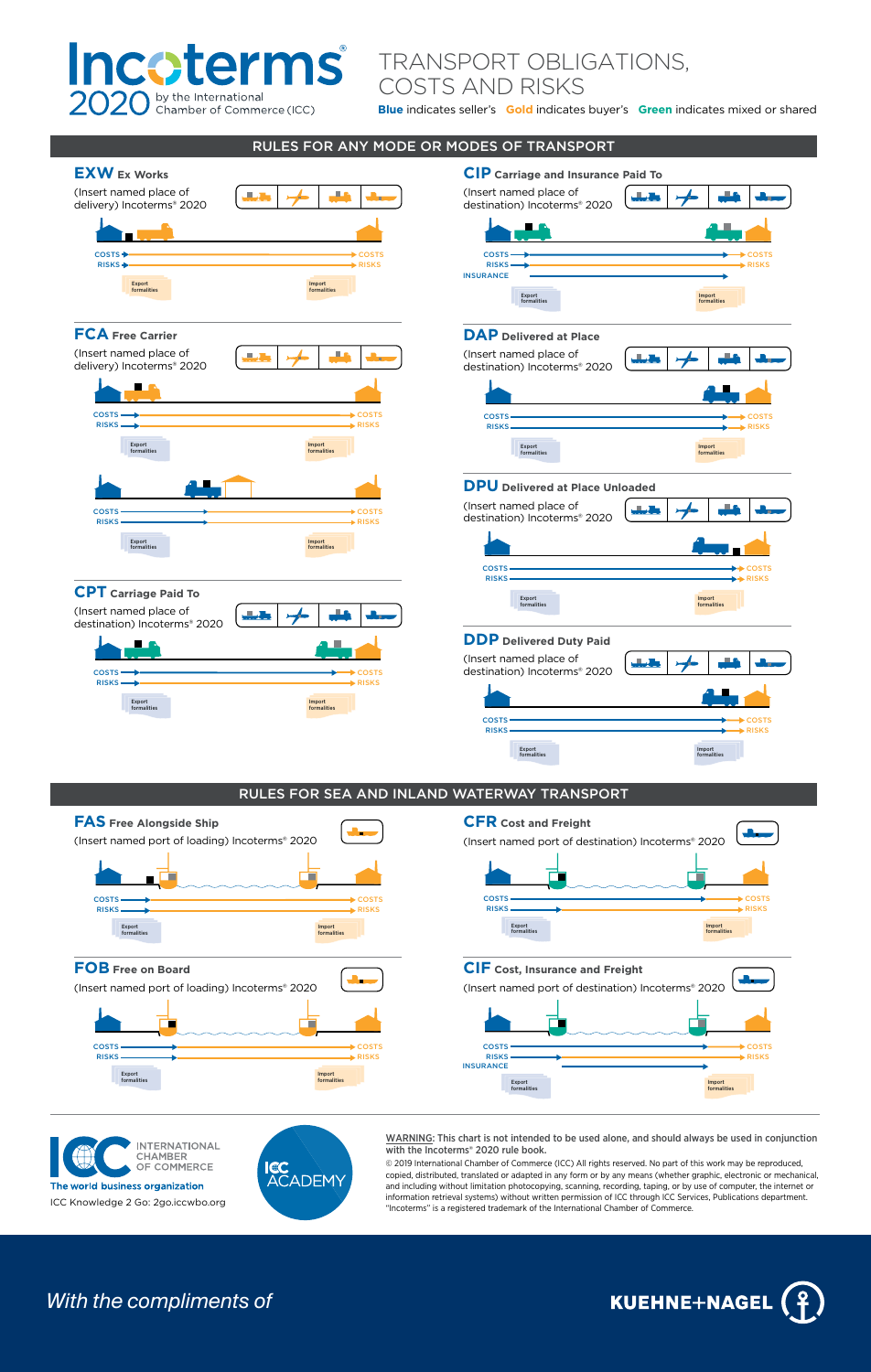

## TRANSPORT OBLIGATIONS,

COSTS AND RISKS

Blue indicates seller's **Gold** indicates buyer's **Green** indicates mixed or shared





**CIF** Cost, Insurance and Freight (Insert named port of destination) Incoterms® 2020 己 costs <del>continuum continuum continuum continuum continuum continuum continuum continuum continuum continuum conti</del> EXECTS<br>RISKS<br>INSURANCE RISKS <del>- RISKS - RISKS - RISKS</del> Export formalities Import formalities

**INTERNATIONAL** CHAMBER<br>OF COMMERCE The world business organization ICC Knowledge 2 Go: 2go.iccwbo.org



formalities

WARNING: This chart is not intended to be used alone, and should always be used in conjunction with the Incoterms<sup>®</sup> 2020 rule book.

© 2019 International Chamber of Commerce (ICC) All rights reserved. No part of this work may be reproduced. copied, distributed, translated or adapted in any form or by any means (whether graphic, electronic or mechanical, and including without limitation photocopying, scanning, recording, taping, or by use of computer, the internet or information retrieval systems) without written permission of ICC through ICC Services, Publications department.<br>"Incoterms" is a registered trademark of the International Chamber of Commerce.

## **With the compliments of**